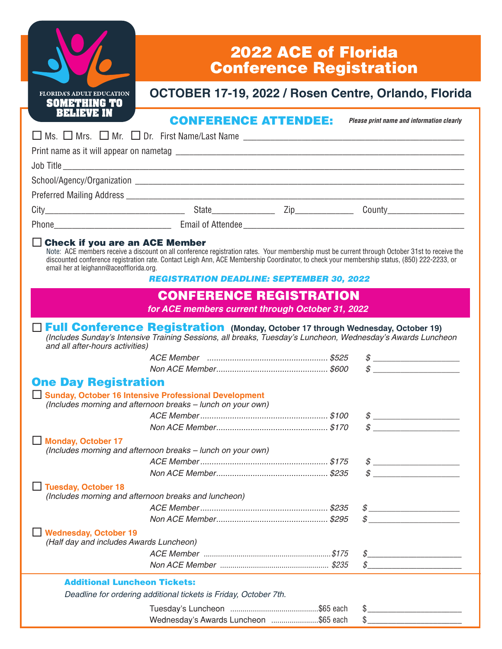|                                                                                  | <b>2022 ACE of Florida</b><br><b>Conference Registration</b>                                                                                                                                                                                                                                                                                      |  |                                                                                                                                                                                                                                                                                                                                                                                                        |  |  |
|----------------------------------------------------------------------------------|---------------------------------------------------------------------------------------------------------------------------------------------------------------------------------------------------------------------------------------------------------------------------------------------------------------------------------------------------|--|--------------------------------------------------------------------------------------------------------------------------------------------------------------------------------------------------------------------------------------------------------------------------------------------------------------------------------------------------------------------------------------------------------|--|--|
| <b>FLORIDA'S ADULT EDUCATION</b><br><b>SOMETHING TO</b>                          | OCTOBER 17-19, 2022 / Rosen Centre, Orlando, Florida                                                                                                                                                                                                                                                                                              |  |                                                                                                                                                                                                                                                                                                                                                                                                        |  |  |
| <b>BELIEVE IN</b>                                                                | <b>CONFERENCE ATTENDEE:</b>                                                                                                                                                                                                                                                                                                                       |  | Please print name and information clearly                                                                                                                                                                                                                                                                                                                                                              |  |  |
|                                                                                  |                                                                                                                                                                                                                                                                                                                                                   |  |                                                                                                                                                                                                                                                                                                                                                                                                        |  |  |
|                                                                                  |                                                                                                                                                                                                                                                                                                                                                   |  |                                                                                                                                                                                                                                                                                                                                                                                                        |  |  |
|                                                                                  |                                                                                                                                                                                                                                                                                                                                                   |  |                                                                                                                                                                                                                                                                                                                                                                                                        |  |  |
|                                                                                  |                                                                                                                                                                                                                                                                                                                                                   |  |                                                                                                                                                                                                                                                                                                                                                                                                        |  |  |
|                                                                                  |                                                                                                                                                                                                                                                                                                                                                   |  |                                                                                                                                                                                                                                                                                                                                                                                                        |  |  |
|                                                                                  |                                                                                                                                                                                                                                                                                                                                                   |  |                                                                                                                                                                                                                                                                                                                                                                                                        |  |  |
|                                                                                  |                                                                                                                                                                                                                                                                                                                                                   |  |                                                                                                                                                                                                                                                                                                                                                                                                        |  |  |
| $\Box$ Check if you are an ACE Member<br>email her at leighann@aceofflorida.org. | Note: ACE members receive a discount on all conference registration rates. Your membership must be current through October 31st to receive the<br>discounted conference registration rate. Contact Leigh Ann, ACE Membership Coordinator, to check your membership status, (850) 222-2233, or<br><b>REGISTRATION DEADLINE: SEPTEMBER 30, 2022</b> |  |                                                                                                                                                                                                                                                                                                                                                                                                        |  |  |
|                                                                                  | <b>CONFERENCE REGISTRATION</b>                                                                                                                                                                                                                                                                                                                    |  |                                                                                                                                                                                                                                                                                                                                                                                                        |  |  |
|                                                                                  | for ACE members current through October 31, 2022                                                                                                                                                                                                                                                                                                  |  |                                                                                                                                                                                                                                                                                                                                                                                                        |  |  |
| and all after-hours activities)                                                  | □ Full Conference Registration (Monday, October 17 through Wednesday, October 19)<br>(Includes Sunday's Intensive Training Sessions, all breaks, Tuesday's Luncheon, Wednesday's Awards Luncheon                                                                                                                                                  |  |                                                                                                                                                                                                                                                                                                                                                                                                        |  |  |
|                                                                                  |                                                                                                                                                                                                                                                                                                                                                   |  | $\begin{picture}(20,10) \put(0,0){\vector(1,0){100}} \put(15,0){\vector(1,0){100}} \put(15,0){\vector(1,0){100}} \put(15,0){\vector(1,0){100}} \put(15,0){\vector(1,0){100}} \put(15,0){\vector(1,0){100}} \put(15,0){\vector(1,0){100}} \put(15,0){\vector(1,0){100}} \put(15,0){\vector(1,0){100}} \put(15,0){\vector(1,0){100}} \put(15,0){\vector(1,0){100}} \$                                    |  |  |
| <b>One Day Registration</b>                                                      |                                                                                                                                                                                                                                                                                                                                                   |  |                                                                                                                                                                                                                                                                                                                                                                                                        |  |  |
|                                                                                  | Sunday, October 16 Intensive Professional Development<br>(Includes morning and afternoon breaks - lunch on your own)                                                                                                                                                                                                                              |  |                                                                                                                                                                                                                                                                                                                                                                                                        |  |  |
|                                                                                  |                                                                                                                                                                                                                                                                                                                                                   |  |                                                                                                                                                                                                                                                                                                                                                                                                        |  |  |
|                                                                                  |                                                                                                                                                                                                                                                                                                                                                   |  | <u> 1980 - Jan Barbarat, manala</u> tar antzeki baten baten baten baten baten baten baten baten baten baten baten baten b                                                                                                                                                                                                                                                                              |  |  |
| <b>Monday, October 17</b>                                                        | (Includes morning and afternoon breaks - lunch on your own)                                                                                                                                                                                                                                                                                       |  |                                                                                                                                                                                                                                                                                                                                                                                                        |  |  |
|                                                                                  |                                                                                                                                                                                                                                                                                                                                                   |  | $\begin{picture}(20,10) \put(0,0){\vector(1,0){100}} \put(15,0){\vector(1,0){100}} \put(15,0){\vector(1,0){100}} \put(15,0){\vector(1,0){100}} \put(15,0){\vector(1,0){100}} \put(15,0){\vector(1,0){100}} \put(15,0){\vector(1,0){100}} \put(15,0){\vector(1,0){100}} \put(15,0){\vector(1,0){100}} \put(15,0){\vector(1,0){100}} \put(15,0){\vector(1,0){100}} \$<br>$\mathcal{S}$ and $\mathcal{S}$ |  |  |
| Tuesday, October 18                                                              | (Includes morning and afternoon breaks and luncheon)                                                                                                                                                                                                                                                                                              |  |                                                                                                                                                                                                                                                                                                                                                                                                        |  |  |
|                                                                                  |                                                                                                                                                                                                                                                                                                                                                   |  | $\begin{array}{c} \circ \\[-1.2mm] \circ \end{array}$                                                                                                                                                                                                                                                                                                                                                  |  |  |
|                                                                                  |                                                                                                                                                                                                                                                                                                                                                   |  | $\mathcal{S}$ and the set of $\mathcal{S}$                                                                                                                                                                                                                                                                                                                                                             |  |  |
| <b>Wednesday, October 19</b><br>(Half day and includes Awards Luncheon)          |                                                                                                                                                                                                                                                                                                                                                   |  |                                                                                                                                                                                                                                                                                                                                                                                                        |  |  |
|                                                                                  |                                                                                                                                                                                                                                                                                                                                                   |  | $\begin{array}{c} \circ \\[-1.2mm] \circ \end{array}$                                                                                                                                                                                                                                                                                                                                                  |  |  |
|                                                                                  |                                                                                                                                                                                                                                                                                                                                                   |  | $\mathcal{S}$ . The contract of the contract of the contract of the contract of the contract of the contract of the contract of the contract of the contract of the contract of the contract of the contract of the contract of th                                                                                                                                                                     |  |  |
| <b>Additional Luncheon Tickets:</b>                                              |                                                                                                                                                                                                                                                                                                                                                   |  |                                                                                                                                                                                                                                                                                                                                                                                                        |  |  |
|                                                                                  | Deadline for ordering additional tickets is Friday, October 7th.                                                                                                                                                                                                                                                                                  |  |                                                                                                                                                                                                                                                                                                                                                                                                        |  |  |
|                                                                                  |                                                                                                                                                                                                                                                                                                                                                   |  | $\frac{1}{2}$ $\frac{1}{2}$ $\frac{1}{2}$ $\frac{1}{2}$ $\frac{1}{2}$ $\frac{1}{2}$ $\frac{1}{2}$ $\frac{1}{2}$ $\frac{1}{2}$ $\frac{1}{2}$ $\frac{1}{2}$ $\frac{1}{2}$ $\frac{1}{2}$ $\frac{1}{2}$ $\frac{1}{2}$ $\frac{1}{2}$ $\frac{1}{2}$ $\frac{1}{2}$ $\frac{1}{2}$ $\frac{1}{2}$ $\frac{1}{2}$ $\frac{1}{2}$                                                                                    |  |  |
|                                                                                  | Wednesday's Awards Luncheon \$65 each                                                                                                                                                                                                                                                                                                             |  | $\begin{picture}(20,10) \put(0,0){\vector(1,0){100}} \put(15,0){\vector(1,0){100}} \put(15,0){\vector(1,0){100}} \put(15,0){\vector(1,0){100}} \put(15,0){\vector(1,0){100}} \put(15,0){\vector(1,0){100}} \put(15,0){\vector(1,0){100}} \put(15,0){\vector(1,0){100}} \put(15,0){\vector(1,0){100}} \put(15,0){\vector(1,0){100}} \put(15,0){\vector(1,0){100}} \$                                    |  |  |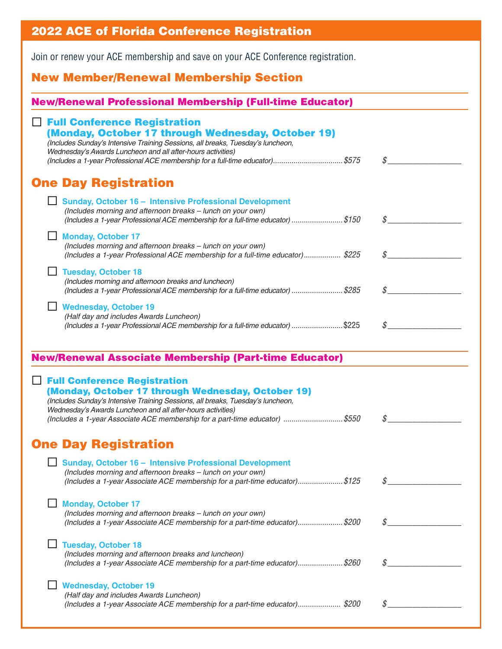| <b>2022 ACE of Florida Conference Registration</b>                                                                                                                                                                                                                                                                           |               |  |  |  |  |  |
|------------------------------------------------------------------------------------------------------------------------------------------------------------------------------------------------------------------------------------------------------------------------------------------------------------------------------|---------------|--|--|--|--|--|
| Join or renew your ACE membership and save on your ACE Conference registration.                                                                                                                                                                                                                                              |               |  |  |  |  |  |
| <b>New Member/Renewal Membership Section</b>                                                                                                                                                                                                                                                                                 |               |  |  |  |  |  |
| <b>New/Renewal Professional Membership (Full-time Educator)</b>                                                                                                                                                                                                                                                              |               |  |  |  |  |  |
| $\Box$ Full Conference Registration<br>(Monday, October 17 through Wednesday, October 19)<br>(Includes Sunday's Intensive Training Sessions, all breaks, Tuesday's luncheon,<br>Wednesday's Awards Luncheon and all after-hours activities)<br>(Includes a 1-year Professional ACE membership for a full-time educator)\$575 |               |  |  |  |  |  |
| <b>One Day Registration</b>                                                                                                                                                                                                                                                                                                  |               |  |  |  |  |  |
| Sunday, October 16 - Intensive Professional Development<br>(Includes morning and afternoon breaks - lunch on your own)<br>(Includes a 1-year Professional ACE membership for a full-time educator) \$150                                                                                                                     |               |  |  |  |  |  |
| <b>Monday, October 17</b><br>(Includes morning and afternoon breaks - lunch on your own)<br>(Includes a 1-year Professional ACE membership for a full-time educator) \$225                                                                                                                                                   | $\mathcal{S}$ |  |  |  |  |  |
| <b>Tuesday, October 18</b><br>(Includes morning and afternoon breaks and luncheon)<br>(Includes a 1-year Professional ACE membership for a full-time educator) \$285                                                                                                                                                         |               |  |  |  |  |  |
| <b>Wednesday, October 19</b><br>(Half day and includes Awards Luncheon)<br>(Includes a 1-year Professional ACE membership for a full-time educator) \$225                                                                                                                                                                    |               |  |  |  |  |  |
| <b>New/Renewal Associate Membership (Part-time Educator)</b>                                                                                                                                                                                                                                                                 |               |  |  |  |  |  |
| <b>Full Conference Registration</b><br>(Monday, October 17 through Wednesday, October 19)<br>(Includes Sunday's Intensive Training Sessions, all breaks, Tuesday's luncheon,<br>Wednesday's Awards Luncheon and all after-hours activities)<br>(Includes a 1-year Associate ACE membership for a part-time educator) \$550   |               |  |  |  |  |  |
| <b>One Day Registration</b>                                                                                                                                                                                                                                                                                                  |               |  |  |  |  |  |
| Sunday, October 16 - Intensive Professional Development<br>(Includes morning and afternoon breaks - lunch on your own)<br>(Includes a 1-year Associate ACE membership for a part-time educator)\$125                                                                                                                         | $\mathcal{S}$ |  |  |  |  |  |
| <b>Monday, October 17</b><br>(Includes morning and afternoon breaks - lunch on your own)<br>(Includes a 1-year Associate ACE membership for a part-time educator)\$200                                                                                                                                                       |               |  |  |  |  |  |
| <b>Tuesday, October 18</b><br>(Includes morning and afternoon breaks and luncheon)<br>(Includes a 1-year Associate ACE membership for a part-time educator)\$260                                                                                                                                                             | \$            |  |  |  |  |  |
| <b>Wednesday, October 19</b><br>(Half day and includes Awards Luncheon)<br>(Includes a 1-year Associate ACE membership for a part-time educator)\$200                                                                                                                                                                        | S             |  |  |  |  |  |